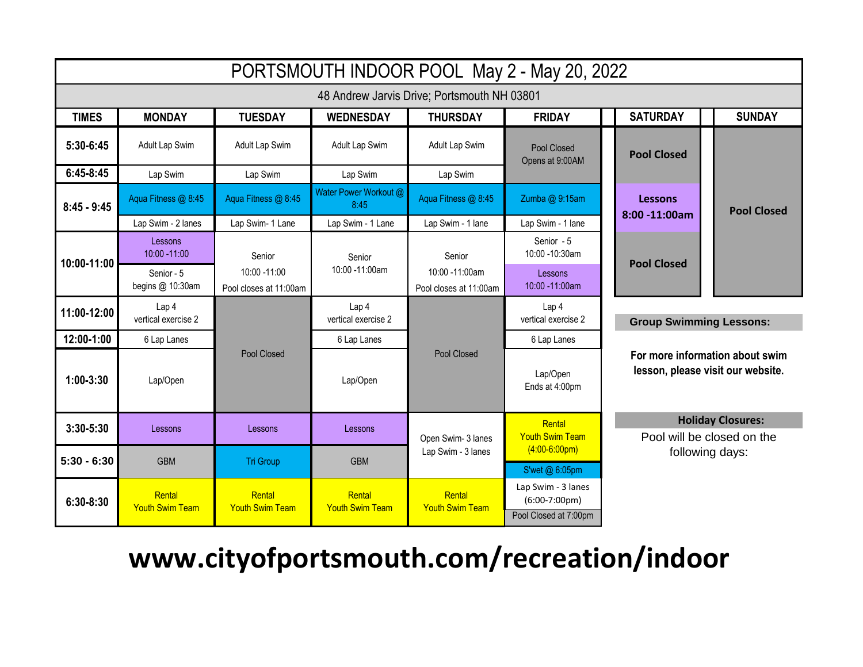| PORTSMOUTH INDOOR POOL May 2 - May 20, 2022 |                                         |                                           |                                  |                                          |                                                                                            |                                                                                                        |                    |  |
|---------------------------------------------|-----------------------------------------|-------------------------------------------|----------------------------------|------------------------------------------|--------------------------------------------------------------------------------------------|--------------------------------------------------------------------------------------------------------|--------------------|--|
| 48 Andrew Jarvis Drive; Portsmouth NH 03801 |                                         |                                           |                                  |                                          |                                                                                            |                                                                                                        |                    |  |
| <b>TIMES</b>                                | <b>MONDAY</b>                           | <b>TUESDAY</b>                            | <b>WEDNESDAY</b>                 | <b>THURSDAY</b>                          | <b>FRIDAY</b>                                                                              | <b>SATURDAY</b>                                                                                        | <b>SUNDAY</b>      |  |
| 5:30-6:45                                   | Adult Lap Swim                          | Adult Lap Swim                            | Adult Lap Swim                   | Adult Lap Swim                           | Pool Closed<br>Opens at 9:00AM                                                             | <b>Pool Closed</b>                                                                                     |                    |  |
| $6:45-8:45$                                 | Lap Swim                                | Lap Swim                                  | Lap Swim                         | Lap Swim                                 |                                                                                            |                                                                                                        | <b>Pool Closed</b> |  |
| $8:45 - 9:45$                               | Aqua Fitness @ 8:45                     | Aqua Fitness @ 8:45                       | Water Power Workout @<br>8:45    | Aqua Fitness @ 8:45                      | Zumba @ 9:15am                                                                             | <b>Lessons</b><br>$8:00 - 11:00$ am                                                                    |                    |  |
|                                             | Lap Swim - 2 lanes                      | Lap Swim- 1 Lane                          | Lap Swim - 1 Lane                | Lap Swim - 1 lane                        | Lap Swim - 1 lane                                                                          |                                                                                                        |                    |  |
| 10:00-11:00                                 | Lessons<br>10:00 -11:00                 | Senior                                    | Senior                           | Senior                                   | Senior - 5<br>10:00 -10:30am                                                               | <b>Pool Closed</b>                                                                                     |                    |  |
|                                             | Senior - 5<br>begins @ 10:30am          | $10:00 - 11:00$<br>Pool closes at 11:00am | 10:00 -11:00am                   | 10:00 -11:00am<br>Pool closes at 11:00am | Lessons<br>10:00 -11:00am                                                                  |                                                                                                        |                    |  |
| 11:00-12:00                                 | Lap <sub>4</sub><br>vertical exercise 2 |                                           | Lap 4<br>vertical exercise 2     | Pool Closed                              | Lap 4<br>vertical exercise 2                                                               | <b>Group Swimming Lessons:</b><br>For more information about swim<br>lesson, please visit our website. |                    |  |
| 12:00-1:00                                  | 6 Lap Lanes                             |                                           | 6 Lap Lanes                      |                                          | 6 Lap Lanes                                                                                |                                                                                                        |                    |  |
| $1:00-3:30$                                 | Lap/Open                                | Pool Closed                               | Lap/Open                         |                                          | Lap/Open<br>Ends at 4:00pm                                                                 |                                                                                                        |                    |  |
| $3:30 - 5:30$                               | Lessons                                 | Lessons                                   | Lessons                          | Open Swim- 3 lanes                       | <b>Holiday Closures:</b><br>Rental<br><b>Youth Swim Team</b><br>Pool will be closed on the |                                                                                                        |                    |  |
| $5:30 - 6:30$                               | <b>GBM</b>                              | <b>Tri Group</b>                          | <b>GBM</b>                       | Lap Swim - 3 lanes                       | $(4:00-6:00pm)$<br>S'wet @ 6:05pm                                                          | following days:                                                                                        |                    |  |
| $6:30 - 8:30$                               | Rental<br><b>Youth Swim Team</b>        | Rental<br><b>Youth Swim Team</b>          | Rental<br><b>Youth Swim Team</b> | Rental<br><b>Youth Swim Team</b>         | Lap Swim - 3 lanes<br>$(6:00-7:00 \text{pm})$<br>Pool Closed at 7:00pm                     |                                                                                                        |                    |  |

## **www.cityofportsmouth.com/recreation/indoor**